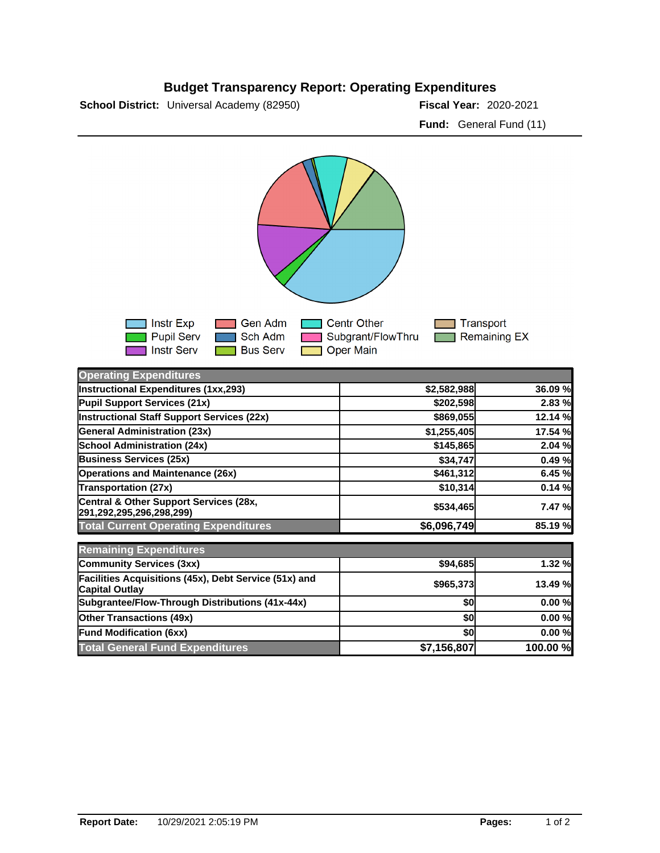## **Budget Transparency Report: Operating Expenditures**

**School District:** Universal Academy (82950) **2020 12: 2020 12: Piscal Year:** 2020-2021

**Fund:** General Fund (11)



| <b>Operating Expenditures</b>                                                  |             |          |
|--------------------------------------------------------------------------------|-------------|----------|
| Instructional Expenditures (1xx,293)                                           | \$2,582,988 | 36.09%   |
| Pupil Support Services (21x)                                                   | \$202,598   | 2.83 %   |
| Instructional Staff Support Services (22x)                                     | \$869,055   | 12.14 %  |
| <b>General Administration (23x)</b>                                            | \$1,255,405 | 17.54 %  |
| <b>School Administration (24x)</b>                                             | \$145,865   | 2.04 %   |
| <b>Business Services (25x)</b>                                                 | \$34,747    | 0.49%    |
| <b>Operations and Maintenance (26x)</b>                                        | \$461,312   | 6.45 %   |
| <b>Transportation (27x)</b>                                                    | \$10,314    | 0.14%    |
| Central & Other Support Services (28x,<br>291,292,295,296,298,299)             | \$534,465   | 7.47 %   |
| <b>Total Current Operating Expenditures</b>                                    | \$6,096,749 | 85.19%   |
| <b>Remaining Expenditures</b>                                                  |             |          |
| <b>Community Services (3xx)</b>                                                | \$94,685    | 1.32 %   |
| Facilities Acquisitions (45x), Debt Service (51x) and<br><b>Capital Outlay</b> | \$965,373   | 13.49 %  |
| Subgrantee/Flow-Through Distributions (41x-44x)                                | \$0         | 0.00%    |
| <b>Other Transactions (49x)</b>                                                | \$0         | 0.00%    |
| <b>Fund Modification (6xx)</b>                                                 | \$0         | 0.00%    |
| <b>Total General Fund Expenditures</b>                                         | \$7,156,807 | 100.00 % |